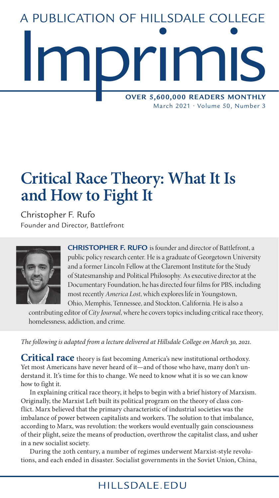# **IMPRIMIS OVER 5,600,000 READERS MONTHLY** A PUBLICATION OF HILLSDALE COLLEGE

#### March 2021 • Volume 50, Number 3

## **Critical Race Theory: What It Is and How to Fight It**

Christopher F. Rufo Founder and Director, Battlefront



**CHRISTOPHER F. RUFO** is founder and director of Battlefront, a public policy research center. He is a graduate of Georgetown University and a former Lincoln Fellow at the Claremont Institute for the Study of Statesmanship and Political Philosophy. As executive director at the Documentary Foundation, he has directed four films for PBS, including most recently *America Lost*, which explores life in Youngstown, Ohio, Memphis, Tennessee, and Stockton, California. He is also a

contributing editor of *City Journal*, where he covers topics including critical race theory, homelessness, addiction, and crime.

*The following is adapted from a lecture delivered at Hillsdale College on March 30, 2021.*

**Critical race** theory is fast becoming America's new institutional orthodoxy. Yet most Americans have never heard of it—and of those who have, many don't understand it. It's time for this to change. We need to know what it is so we can know how to fight it.

In explaining critical race theory, it helps to begin with a brief history of Marxism. Originally, the Marxist Left built its political program on the theory of class conflict. Marx believed that the primary characteristic of industrial societies was the imbalance of power between capitalists and workers. The solution to that imbalance, according to Marx, was revolution: the workers would eventually gain consciousness of their plight, seize the means of production, overthrow the capitalist class, and usher in a new socialist society.

During the 20th century, a number of regimes underwent Marxist-style revolutions, and each ended in disaster. Socialist governments in the Soviet Union, China,

### HILLSDALE.EDU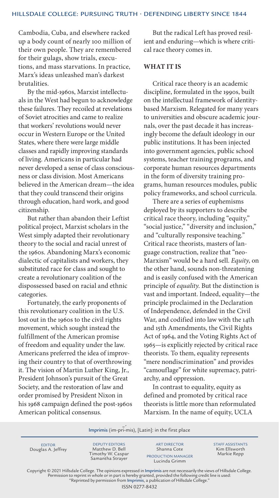Cambodia, Cuba, and elsewhere racked up a body count of nearly 100 million of their own people. They are remembered for their gulags, show trials, executions, and mass starvations. In practice, Marx's ideas unleashed man's darkest brutalities.

By the mid-1960s, Marxist intellectuals in the West had begun to acknowledge these failures. They recoiled at revelations of Soviet atrocities and came to realize that workers' revolutions would never occur in Western Europe or the United States, where there were large middle classes and rapidly improving standards of living. Americans in particular had never developed a sense of class consciousness or class division. Most Americans believed in the American dream—the idea that they could transcend their origins through education, hard work, and good citizenship.

But rather than abandon their Leftist political project, Marxist scholars in the West simply adapted their revolutionary theory to the social and racial unrest of the 1960s. Abandoning Marx's economic dialectic of capitalists and workers, they substituted race for class and sought to create a revolutionary coalition of the dispossessed based on racial and ethnic categories.

Fortunately, the early proponents of this revolutionary coalition in the U.S. lost out in the 1960s to the civil rights movement, which sought instead the fulfillment of the American promise of freedom and equality under the law. Americans preferred the idea of improving their country to that of overthrowing it. The vision of Martin Luther King, Jr., President Johnson's pursuit of the Great Society, and the restoration of law and order promised by President Nixon in his 1968 campaign defined the post-1960s American political consensus.

But the radical Left has proved resilient and enduring—which is where critical race theory comes in.

#### **WHAT IT IS**

Critical race theory is an academic discipline, formulated in the 1990s, built on the intellectual framework of identitybased Marxism. Relegated for many years to universities and obscure academic journals, over the past decade it has increasingly become the default ideology in our public institutions. It has been injected into government agencies, public school systems, teacher training programs, and corporate human resources departments in the form of diversity training programs, human resources modules, public policy frameworks, and school curricula.

There are a series of euphemisms deployed by its supporters to describe critical race theory, including "equity," "social justice," "diversity and inclusion," and "culturally responsive teaching." Critical race theorists, masters of language construction, realize that "neo-Marxism" would be a hard sell. *Equity*, on the other hand, sounds non-threatening and is easily confused with the American principle of *equality*. But the distinction is vast and important. Indeed, equality—the principle proclaimed in the Declaration of Independence, defended in the Civil War, and codified into law with the 14th and 15th Amendments, the Civil Rights Act of 1964, and the Voting Rights Act of 1965—is explicitly rejected by critical race theorists. To them, equality represents "mere nondiscrimination" and provides "camouflage" for white supremacy, patriarchy, and oppression.

In contrast to equality, equity as defined and promoted by critical race theorists is little more than reformulated Marxism. In the name of equity, UCLA

| Imprimis (im-pri-mis), [Latin]: in the first place                                                                                                                                                                               |                                                                                   |                                                                                  |                                                         |
|----------------------------------------------------------------------------------------------------------------------------------------------------------------------------------------------------------------------------------|-----------------------------------------------------------------------------------|----------------------------------------------------------------------------------|---------------------------------------------------------|
| <b>EDITOR</b><br>Douglas A. Jeffrey                                                                                                                                                                                              | <b>DEPUTY EDITORS</b><br>Matthew D. Bell<br>Timothy W. Caspar<br>Samantha Strayer | <b>ART DIRECTOR</b><br>Shanna Cote<br><b>PRODUCTION MANAGER</b><br>Lucinda Grimm | <b>STAFF ASSISTANTS</b><br>Kim Ellsworth<br>Markie Repp |
| Copyright © 2021 Hillsdale College. The opinions expressed in Imprimis are not necessarily the views of Hillsdale College.<br>Permission to reprint in whole or in part is hereby granted, provided the following credit line is |                                                                                   |                                                                                  |                                                         |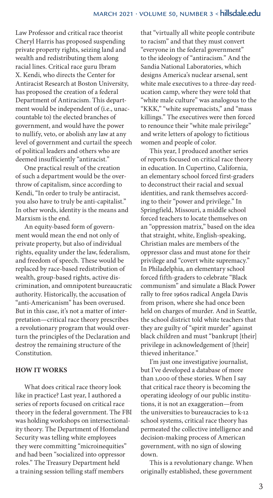Law Professor and critical race theorist Cheryl Harris has proposed suspending private property rights, seizing land and wealth and redistributing them along racial lines. Critical race guru Ibram X. Kendi, who directs the Center for Antiracist Research at Boston University, has proposed the creation of a federal Department of Antiracism. This department would be independent of (i.e., unaccountable to) the elected branches of government, and would have the power to nullify, veto, or abolish any law at any level of government and curtail the speech of political leaders and others who are deemed insufficiently "antiracist."

One practical result of the creation of such a department would be the overthrow of capitalism, since according to Kendi, "In order to truly be antiracist, you also have to truly be anti-capitalist." In other words, identity is the means and Marxism is the end.

An equity-based form of government would mean the end not only of private property, but also of individual rights, equality under the law, federalism, and freedom of speech. These would be replaced by race-based redistribution of wealth, group-based rights, active discrimination, and omnipotent bureaucratic authority. Historically, the accusation of "anti-Americanism" has been overused. But in this case, it's not a matter of interpretation—critical race theory prescribes a revolutionary program that would overturn the principles of the Declaration and destroy the remaining structure of the Constitution.

#### **HOW IT WORKS**

What does critical race theory look like in practice? Last year, I authored a series of reports focused on critical race theory in the federal government. The FBI was holding workshops on intersectionality theory. The Department of Homeland Security was telling white employees they were committing "microinequities" and had been "socialized into oppressor roles." The Treasury Department held a training session telling staff members

that "virtually all white people contribute to racism" and that they must convert "everyone in the federal government" to the ideology of "antiracism." And the Sandia National Laboratories, which designs America's nuclear arsenal, sent white male executives to a three-day reeducation camp, where they were told that "white male culture" was analogous to the "KKK," "white supremacists," and "mass killings." The executives were then forced to renounce their "white male privilege" and write letters of apology to fictitious women and people of color.

This year, I produced another series of reports focused on critical race theory in education. In Cupertino, California, an elementary school forced first-graders to deconstruct their racial and sexual identities, and rank themselves according to their "power and privilege." In Springfield, Missouri, a middle school forced teachers to locate themselves on an "oppression matrix," based on the idea that straight, white, English-speaking, Christian males are members of the oppressor class and must atone for their privilege and "covert white supremacy." In Philadelphia, an elementary school forced fifth-graders to celebrate "Black communism" and simulate a Black Power rally to free 1960s radical Angela Davis from prison, where she had once been held on charges of murder. And in Seattle, the school district told white teachers that they are guilty of "spirit murder" against black children and must "bankrupt [their] privilege in acknowledgement of [their] thieved inheritance."

I'm just one investigative journalist, but I've developed a database of more than 1,000 of these stories. When I say that critical race theory is becoming the operating ideology of our public institutions, it is not an exaggeration—from the universities to bureaucracies to k-12 school systems, critical race theory has permeated the collective intelligence and decision-making process of American government, with no sign of slowing down.

This is a revolutionary change. When originally established, these government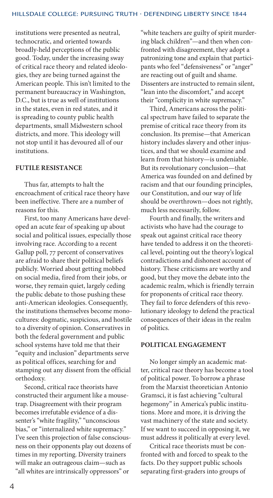institutions were presented as neutral, technocratic, and oriented towards broadly-held perceptions of the public good. Today, under the increasing sway of critical race theory and related ideologies, they are being turned against the American people. This isn't limited to the permanent bureaucracy in Washington, D.C., but is true as well of institutions in the states, even in red states, and it is spreading to county public health departments, small Midwestern school districts, and more. This ideology will not stop until it has devoured all of our institutions.

#### **FUTILE RESISTANCE**

Thus far, attempts to halt the encroachment of critical race theory have been ineffective. There are a number of reasons for this.

First, too many Americans have developed an acute fear of speaking up about social and political issues, especially those involving race. According to a recent Gallup poll, 77 percent of conservatives are afraid to share their political beliefs publicly. Worried about getting mobbed on social media, fired from their jobs, or worse, they remain quiet, largely ceding the public debate to those pushing these anti-American ideologies. Consequently, the institutions themselves become monocultures: dogmatic, suspicious, and hostile to a diversity of opinion. Conservatives in both the federal government and public school systems have told me that their "equity and inclusion" departments serve as political offices, searching for and stamping out any dissent from the official orthodoxy.

Second, critical race theorists have constructed their argument like a mousetrap. Disagreement with their program becomes irrefutable evidence of a dissenter's "white fragility," "unconscious bias," or "internalized white supremacy." I've seen this projection of false consciousness on their opponents play out dozens of times in my reporting. Diversity trainers will make an outrageous claim—such as "all whites are intrinsically oppressors" or

"white teachers are guilty of spirit murdering black children"—and then when confronted with disagreement, they adopt a patronizing tone and explain that participants who feel "defensiveness" or "anger" are reacting out of guilt and shame. Dissenters are instructed to remain silent, "lean into the discomfort," and accept their "complicity in white supremacy."

Third, Americans across the political spectrum have failed to separate the premise of critical race theory from its conclusion. Its premise—that American history includes slavery and other injustices, and that we should examine and learn from that history—is undeniable. But its revolutionary conclusion—that America was founded on and defined by racism and that our founding principles, our Constitution, and our way of life should be overthrown—does not rightly, much less necessarily, follow.

Fourth and finally, the writers and activists who have had the courage to speak out against critical race theory have tended to address it on the theoretical level, pointing out the theory's logical contradictions and dishonest account of history. These criticisms are worthy and good, but they move the debate into the academic realm, which is friendly terrain for proponents of critical race theory. They fail to force defenders of this revolutionary ideology to defend the practical consequences of their ideas in the realm of politics.

#### **POLITICAL ENGAGEMENT**

No longer simply an academic matter, critical race theory has become a tool of political power. To borrow a phrase from the Marxist theoretician Antonio Gramsci, it is fast achieving "cultural hegemony" in America's public institutions. More and more, it is driving the vast machinery of the state and society. If we want to succeed in opposing it, we must address it politically at every level.

Critical race theorists must be confronted with and forced to speak to the facts. Do they support public schools separating first-graders into groups of